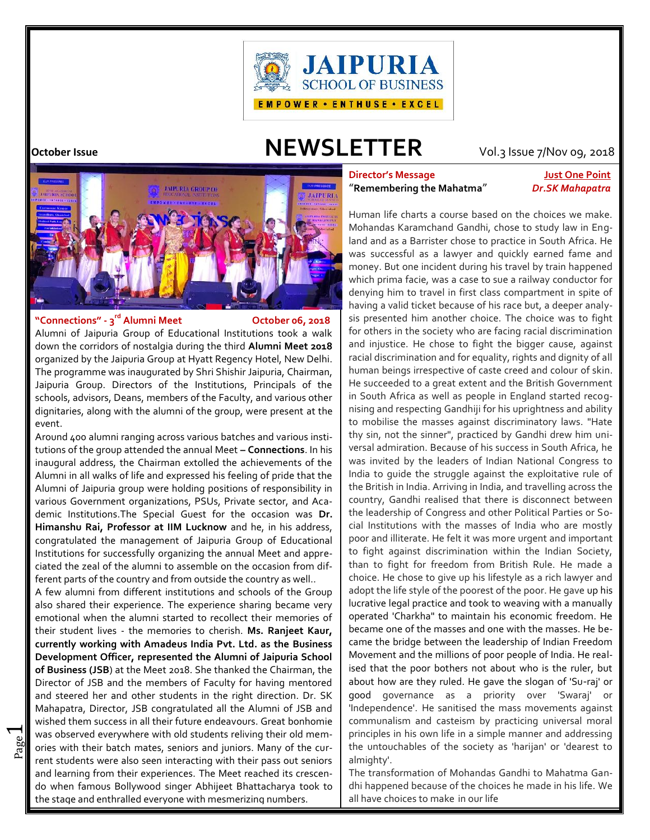

# **October Issue NEWSLETTER** Vol.3 Issue 7/Nov 09, 2018



### **"Connections" - 3**

 $\overline{\phantom{0}}$ 

### **October 06, 2018**

Alumni of Jaipuria Group of Educational Institutions took a walk down the corridors of nostalgia during the third **Alumni Meet 2018** organized by the Jaipuria Group at Hyatt Regency Hotel, New Delhi. The programme was inaugurated by Shri Shishir Jaipuria, Chairman, Jaipuria Group. Directors of the Institutions, Principals of the schools, advisors, Deans, members of the Faculty, and various other dignitaries, along with the alumni of the group, were present at the event.

Around 400 alumni ranging across various batches and various institutions of the group attended the annual Meet **– Connections**. In his inaugural address, the Chairman extolled the achievements of the Alumni in all walks of life and expressed his feeling of pride that the Alumni of Jaipuria group were holding positions of responsibility in various Government organizations, PSUs, Private sector, and Academic Institutions.The Special Guest for the occasion was **Dr. Himanshu Rai, Professor at IIM Lucknow** and he, in his address, congratulated the management of Jaipuria Group of Educational Institutions for successfully organizing the annual Meet and appreciated the zeal of the alumni to assemble on the occasion from different parts of the country and from outside the country as well..

page was observed everywhere with old stockins reliving their old members.<br>The cur was observed everywhere with old students reliving their old mem-A few alumni from different institutions and schools of the Group also shared their experience. The experience sharing became very emotional when the alumni started to recollect their memories of their student lives - the memories to cherish. **Ms. Ranjeet Kaur, currently working with Amadeus India Pvt. Ltd. as the Business Development Officer, represented the Alumni of Jaipuria School of Business (JSB**) at the Meet 2018. She thanked the Chairman, the Director of JSB and the members of Faculty for having mentored and steered her and other students in the right direction. Dr. SK Mahapatra, Director, JSB congratulated all the Alumni of JSB and wished them success in all their future endeavours. Great bonhomie rent students were also seen interacting with their pass out seniors and learning from their experiences. The Meet reached its crescendo when famous Bollywood singer Abhijeet Bhattacharya took to the stage and enthralled everyone with mesmerizing numbers.

### **Director's Message Just One Point** "**Remembering the Mahatma**" *Dr.SK Mahapatra*

Human life charts a course based on the choices we make. Mohandas Karamchand Gandhi, chose to study law in England and as a Barrister chose to practice in South Africa. He was successful as a lawyer and quickly earned fame and money. But one incident during his travel by train happened which prima facie, was a case to sue a railway conductor for denying him to travel in first class compartment in spite of having a valid ticket because of his race but, a deeper analysis presented him another choice. The choice was to fight for others in the society who are facing racial discrimination and injustice. He chose to fight the bigger cause, against racial discrimination and for equality, rights and dignity of all human beings irrespective of caste creed and colour of skin. He succeeded to a great extent and the British Government in South Africa as well as people in England started recognising and respecting Gandhiji for his uprightness and ability to mobilise the masses against discriminatory laws. "Hate thy sin, not the sinner", practiced by Gandhi drew him universal admiration. Because of his success in South Africa, he was invited by the leaders of Indian National Congress to India to guide the struggle against the exploitative rule of the British in India. Arriving in India, and travelling across the country, Gandhi realised that there is disconnect between the leadership of Congress and other Political Parties or Social Institutions with the masses of India who are mostly poor and illiterate. He felt it was more urgent and important to fight against discrimination within the Indian Society, than to fight for freedom from British Rule. He made a choice. He chose to give up his lifestyle as a rich lawyer and adopt the life style of the poorest of the poor. He gave up his lucrative legal practice and took to weaving with a manually operated 'Charkha" to maintain his economic freedom. He became one of the masses and one with the masses. He became the bridge between the leadership of Indian Freedom Movement and the millions of poor people of India. He realised that the poor bothers not about who is the ruler, but about how are they ruled. He gave the slogan of 'Su-raj' or good governance as a priority over 'Swaraj' or 'Independence'. He sanitised the mass movements against communalism and casteism by practicing universal moral principles in his own life in a simple manner and addressing the untouchables of the society as 'harijan' or 'dearest to almighty'.

The transformation of Mohandas Gandhi to Mahatma Gandhi happened because of the choices he made in his life. We all have choices to make in our life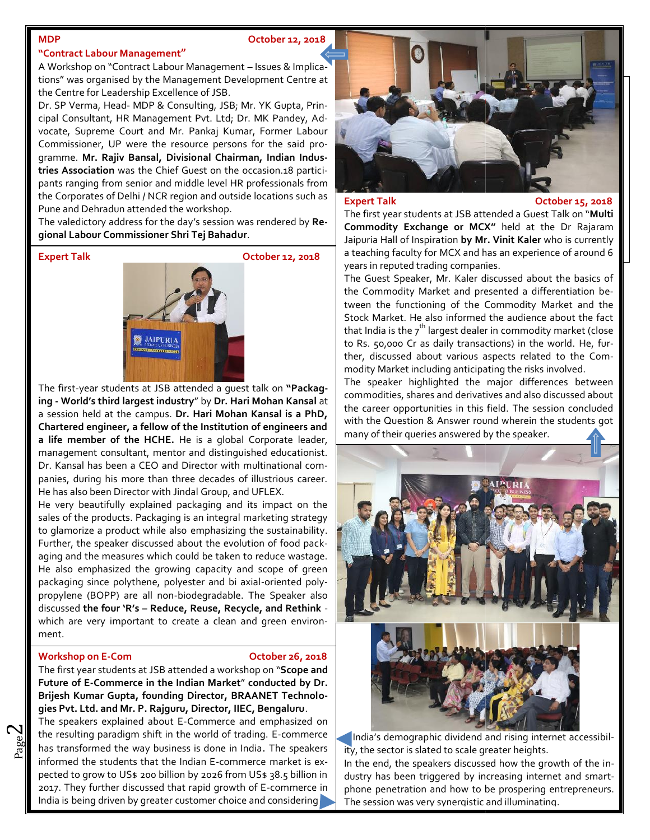### **MDP October 12, 2018**

### **"Contract Labour Management"**

A Workshop on "Contract Labour Management – Issues & Implications" was organised by the Management Development Centre at the Centre for Leadership Excellence of JSB.

Dr. SP Verma, Head- MDP & Consulting, JSB; Mr. YK Gupta, Principal Consultant, HR Management Pvt. Ltd; Dr. MK Pandey, Advocate, Supreme Court and Mr. Pankaj Kumar, Former Labour vocate, Supreme Court and Mr. Pankaj Kumar, Former Labour<br>Commissioner, UP were the resource persons for the said programme. **Mr. Rajiv Bansal, Divisional Chairman, Indian Indus-Mr. Chairman, tries Association** was the Chief Guest on the occasion.18 participants ranging from senior and middle level HR professionals from the Corporates of Delhi / NCR region and outside locations such as **Expert Talk** Pune and Dehradun attended the workshop. tries Association was the Chief Guest on the occasion.18 participants ranging from senior and middle level HR professionals from<br>the Corporates of Delhi / NCR region and outside locations such as<br>Pune and Dehradun attended

**gional Labour Commissioner Shri Tej Bahadur**.

**Expert Talk October 12, 2018 October 2018**



The first-year students at JSB attended a quest talk on "Packag**ing - World's third largest industry**" by **Dr. Hari Mohan Kansal** at **Dr. Kansal**a session held at the campus. **Dr. Hari Mohan Kansal is a PhD,** a session held at the campus. Dr. Hari Mohan Kansal is a PhD, with t<br>Chartered engineer, a fellow of the Institution of engineers and with t **a life member of the HCHE.** He is a global Corporate leader, management consultant, mentor and distinguished educationist. **a life member of the HCHE.** He is a global Corporate leader,<br>management consultant, mentor and distinguished educationist.<br>Dr. Kansal has been a CEO and Director with multinational companies, during his more than three decades of illustrious career. He has also been Director with Jindal Group, and UFLEX.

He very beautifully explained packaging and its impact on the sales of the products. Packaging is an integral marketing strategy to glamorize a product while also emphasizing the sustainability. Further, the speaker discussed about the evolution of food packaging and the measures which could be taken to reduce wastage. He also emphasized the growing capacity and scope of green packaging since polythene, polyester and bi axial-oriented polypropylene (BOPP) are all non-biodegradable. The Speaker also discussed **the four 'R's – Reduce, Reuse, Recycle, and Rethink** - **four Reduce, Reuse, Recycle,** which are very important to create a clean and green environment. panies, during his more than three decades of illustrious career.<br>He has also been Director with Jindal Group, and UFLEX.<br>He very beautifully explained packaging and its impact on the<br>sales of the products. Packaging is an

### . **Workshop** on E-Com **October 26, 2018**

 $\mathbf{\sim}$ 

The first year students at JSB attended a workshop on "**Scope and Future of E-Commerce in the Indian Market**" **conducted by Dr. Brijesh Kumar Gupta, founding Director, BRAANET Technolo-Director, IIEC, Bengalurugies Pvt. Ltd. and Mr. P. Rajguru, Director, IIEC, Bengaluru**.

 $\frac{80}{20}$  has transformed the way business is done in India. The speakers ity, the resulting paradigm shift in the world of trading. E-commerce  $\Box$  Ind The speakers explained about E-Commerce and emphasized on  $\,|\,$ informed the students that the Indian E-commerce market is expected to grow to US\$ 200 billion by 2026 from US\$ 38.5 billion in 2017. They further discussed that rapid growth of E-commerce in India is being driven by greater customer choice and considering **The session was very synergistic and illuminating**. the resulting paradigm shift in the world of trading. E-commerce<br>
has transformed the way business is done in India. The speakers<br>
informed the students that the Indian E-commerce market is ex-<br>
pected to grow to US\$ 200 b



**Expert Talk October 15, 2018**

The first year students at JSB attended a Guest Talk on "**Multi Commodity Exchange or MCX"** held at the Dr Rajaram Jaipuria Hall of Inspiration **by Mr. Vinit Kaler** who is currently a teaching faculty for MCX and has an experience of around 6 years in reputed trading companies.

The Guest Speaker, Mr. Kaler discussed about the basics of the Commodity Market and presented a differentiation between the functioning of the Commodity Market and the Stock Market. He also informed the audience about the fact that India is the  $7^{th}$  largest dealer in commodity market (close to Rs. 50,000 Cr as daily transactions) in the world. He, further, discussed about various aspects related to the Commodity Market including anticipating the risks involved.

The speaker highlighted the major differences between commodities, shares and derivatives and also discussed about the career opportunities in this field. The session concluded with the Question & Answer round wherein the students got many of their queries answered by the speaker.





India's demographic dividend and rising internet accessibility, the sector is slated to scale greater heights. In the end, the speakers discussed how the growth of the industry has been triggered by increasing internet and smartphone penetration and how to be prospering entrepreneurs.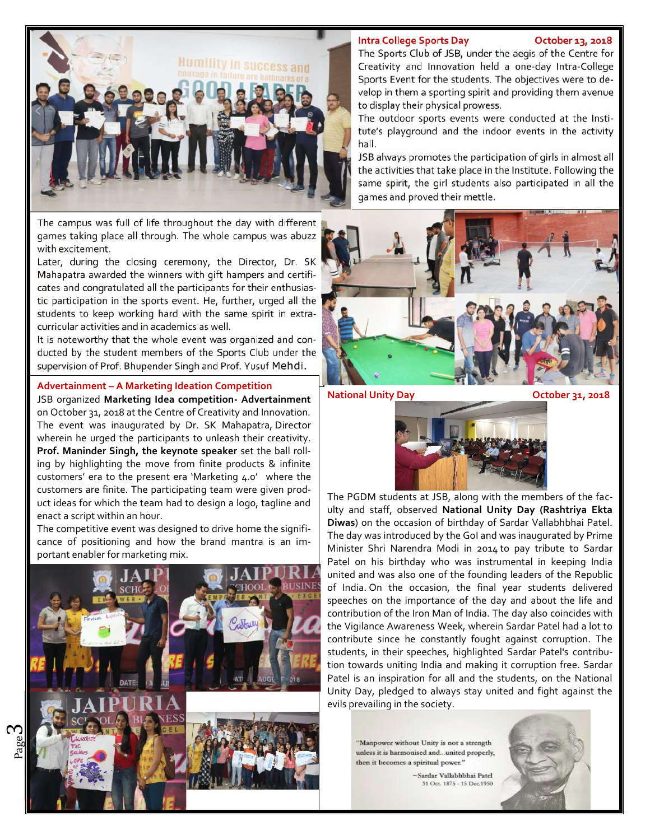### **Intra College Sports Day October 13, 2018**



The campus was full of life throughout the day with different games taking place all through. The whole campus was abuzz with excitement.

Later, during the closing ceremony, the Director, Dr. SK Mahapatra awarded the winners with gift hampers and certificates and congratulated all the participants for their enthusiastic participation in the sports event. He, further, urged all the students to keep working hard with the same spirit in extra curricular activities and in academics as well.

It is noteworthy that the whole event was organized and conducted by the student members of the Sports Club under the supervision of Prof. Bhupender Singh and Prof. Yusuf Mehdi.

### **Advertainment – A Marketing Ideation Competition**

JSB organized **Marketing Idea competition- Advertainment** on October 31, 2018 at the Centre of Creativity and Innovation. The event was inaugurated by Dr. SK Mahapatra, Director wherein he urged the participants to unleash their creativity. **Prof. Maninder Singh, the keynote speaker** set the ball rolling by highlighting the move from finite products & infinite customers' era to the present era 'Marketing 4.0' where the customers are finite. The participating team were given product ideas for which the team had to design a logo, tagline and enact a script within an hour.

The competitive event was designed to drive home the significance of positioning and how the brand mantra is an important enabler for marketing mix.



ო

## to display their physical prowess. The outdoor sports events were conducted at the Insti-

tute's playground and the indoor events in the activity hall. JSB always promotes the participation of girls in almost all

The Sports Club of JSB, under the aegis of the Centre for Creativity and Innovation held a one-day Intra-College Sports Event for the students. The objectives were to develop in them a sporting spirit and providing them avenue

the activities that take place in the Institute. Following the same spirit, the girl students also participated in all the games and proved their mettle.



**National Unity Day COLOGIST:** COLOGIST: 0.18



The PGDM students at JSB, along with the members of the faculty and staff, observed **National Unity Day (Rashtriya Ekta Diwas**) on the occasion of birthday of Sardar Vallabhbhai Patel. The day was introduced by the GoI and was inaugurated by Prime Minister Shri Narendra Modi in 2014 to pay tribute to Sardar Patel on his birthday who was instrumental in keeping India united and was also one of the founding leaders of the Republic of India. On the occasion, the final year students delivered speeches on the importance of the day and about the life and contribution of the Iron Man of India. The day also coincides with the Vigilance Awareness Week, wherein Sardar Patel had a lot to contribute since he constantly fought against corruption. The students, in their speeches, highlighted Sardar Patel's contribution towards uniting India and making it corruption free. Sardar Patel is an inspiration for all and the students, on the National Unity Day, pledged to always stay united and fight against the evils prevailing in the society.

"Manpower without Unity is not a strength unless it is harmonised and ... united properly, then it becomes a spiritual power."

> ~Sardar Vallabhbhai Patel 31 Oct. 1875 - 15 Dec. 1950